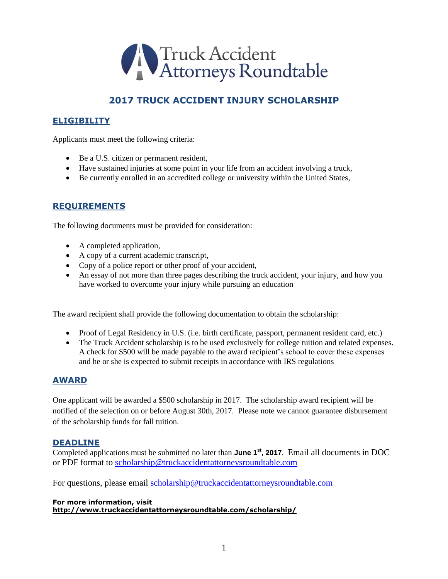

# **2017 TRUCK ACCIDENT INJURY SCHOLARSHIP**

#### **ELIGIBILITY**

Applicants must meet the following criteria:

- Be a U.S. citizen or permanent resident,
- Have sustained injuries at some point in your life from an accident involving a truck,
- Be currently enrolled in an accredited college or university within the United States,

#### **REQUIREMENTS**

The following documents must be provided for consideration:

- A completed application,
- A copy of a current academic transcript,
- Copy of a police report or other proof of your accident,
- An essay of not more than three pages describing the truck accident, your injury, and how you have worked to overcome your injury while pursuing an education

The award recipient shall provide the following documentation to obtain the scholarship:

- Proof of Legal Residency in U.S. (i.e. birth certificate, passport, permanent resident card, etc.)
- The Truck Accident scholarship is to be used exclusively for college tuition and related expenses. A check for \$500 will be made payable to the award recipient's school to cover these expenses and he or she is expected to submit receipts in accordance with IRS regulations

#### **AWARD**

One applicant will be awarded a \$500 scholarship in 2017. The scholarship award recipient will be notified of the selection on or before August 30th, 2017. Please note we cannot guarantee disbursement of the scholarship funds for fall tuition.

#### **DEADLINE**

Completed applications must be submitted no later than June 1<sup>st</sup>, 2017. Email all documents in DOC or PDF format to [scholarship@truckaccidentattorneysroundtable.com](mailto:scholarship@truckaccidentattorneysroundtable.com)

For questions, please email [scholarship@truckaccidentattorneysroundtable.com](mailto:scholarship@truckaccidentattorneysroundtable.com)

**For more information, visit http://www.truckaccidentattorneysroundtable.com/scholarship/**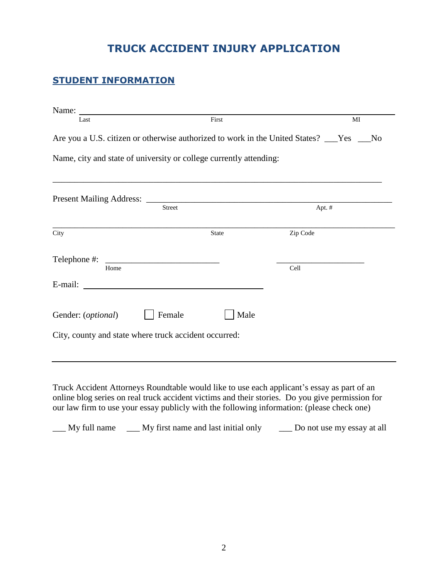# **TRUCK ACCIDENT INJURY APPLICATION**

### **STUDENT INFORMATION**

| Last                                                                                      | First         |              |          | MI |  |
|-------------------------------------------------------------------------------------------|---------------|--------------|----------|----|--|
| Are you a U.S. citizen or otherwise authorized to work in the United States? ___Yes ___No |               |              |          |    |  |
| Name, city and state of university or college currently attending:                        |               |              |          |    |  |
|                                                                                           |               |              |          |    |  |
|                                                                                           |               |              |          |    |  |
|                                                                                           | <b>Street</b> |              | Apt. #   |    |  |
| City                                                                                      |               | <b>State</b> | Zip Code |    |  |
| Telephone #:                                                                              |               |              |          |    |  |
| Home                                                                                      |               |              | Cell     |    |  |
| E-mail:                                                                                   |               |              |          |    |  |
| Gender: ( <i>optional</i> )                                                               | Female        | Male         |          |    |  |
| City, county and state where truck accident occurred:                                     |               |              |          |    |  |

Truck Accident Attorneys Roundtable would like to use each applicant's essay as part of an online blog series on real truck accident victims and their stories. Do you give permission for our law firm to use your essay publicly with the following information: (please check one)

\_\_\_ My full name \_\_\_ My first name and last initial only \_\_\_ Do not use my essay at all